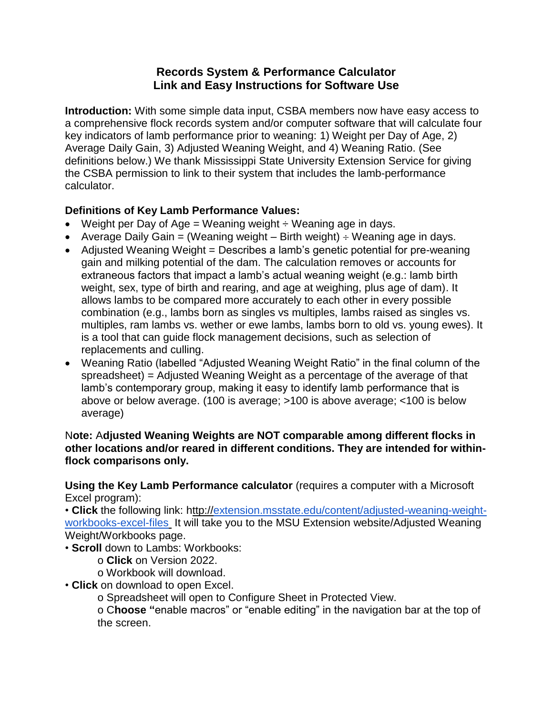## **Records System & Performance Calculator Link and Easy Instructions for Software Use**

**Introduction:** With some simple data input, CSBA members now have easy access to a comprehensive flock records system and/or computer software that will calculate four key indicators of lamb performance prior to weaning: 1) Weight per Day of Age, 2) Average Daily Gain, 3) Adjusted Weaning Weight, and 4) Weaning Ratio. (See definitions below.) We thank Mississippi State University Extension Service for giving the CSBA permission to link to their system that includes the lamb-performance calculator.

## **Definitions of Key Lamb Performance Values:**

- Weight per Day of Age = Weaning weight  $\div$  Weaning age in days.
- Average Daily Gain = (Weaning weight  $-$  Birth weight)  $\div$  Weaning age in days.
- Adjusted Weaning Weight = Describes a lamb's genetic potential for pre-weaning gain and milking potential of the dam. The calculation removes or accounts for extraneous factors that impact a lamb's actual weaning weight (e.g.: lamb birth weight, sex, type of birth and rearing, and age at weighing, plus age of dam). It allows lambs to be compared more accurately to each other in every possible combination (e.g., lambs born as singles vs multiples, lambs raised as singles vs. multiples, ram lambs vs. wether or ewe lambs, lambs born to old vs. young ewes). It is a tool that can guide flock management decisions, such as selection of replacements and culling.
- Weaning Ratio (labelled "Adjusted Weaning Weight Ratio" in the final column of the spreadsheet) = Adjusted Weaning Weight as a percentage of the average of that lamb's contemporary group, making it easy to identify lamb performance that is above or below average. (100 is average; >100 is above average; <100 is below average)

## N**ote:** A**djusted Weaning Weights are NOT comparable among different flocks in other locations and/or reared in different conditions. They are intended for withinflock comparisons only.**

**Using the Key Lamb Performance calculator** (requires a computer with a Microsoft Excel program):

• **Click** the following link: http:/[/extension.msstate.edu/content/adjusted-weaning-weight](http://extension.msstate.edu/content/adjusted-weaning-weight-workbooks-excel-files)[workbooks-excel-files](http://extension.msstate.edu/content/adjusted-weaning-weight-workbooks-excel-files) It will take you to the MSU Extension website/Adjusted Weaning Weight/Workbooks page.

• **Scroll** down to Lambs: Workbooks:

o **Click** on Version 2022.

o Workbook will download.

• **Click** on download to open Excel.

o Spreadsheet will open to Configure Sheet in Protected View.

o C**hoose "**enable macros" or "enable editing" in the navigation bar at the top of the screen.